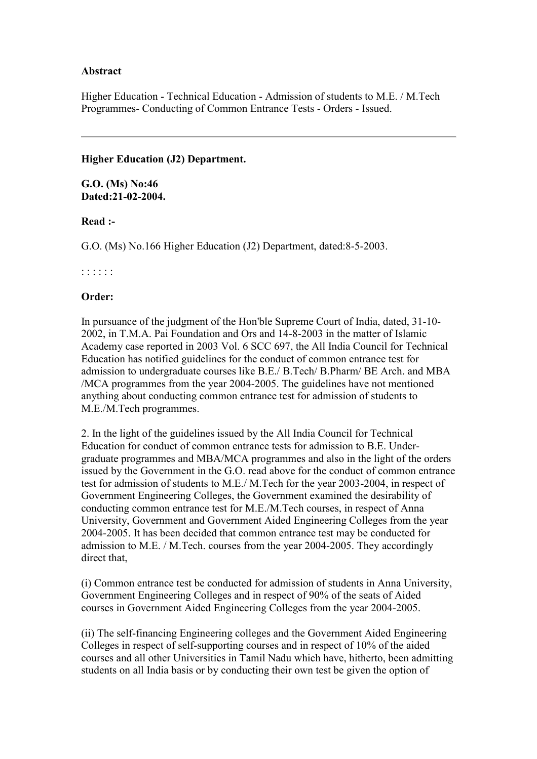## **Abstract**

Higher Education - Technical Education - Admission of students to M.E. / M.Tech Programmes- Conducting of Common Entrance Tests - Orders - Issued.

#### **Higher Education (J2) Department.**

**G.O. (Ms) No:46 Dated:21-02-2004.**

**Read :-**

G.O. (Ms) No.166 Higher Education (J2) Department, dated:8-5-2003.

## : : : : : :

## **Order:**

In pursuance of the judgment of the Hon'ble Supreme Court of India, dated, 31-10- 2002, in T.M.A. Pai Foundation and Ors and 14-8-2003 in the matter of Islamic Academy case reported in 2003 Vol. 6 SCC 697, the All India Council for Technical Education has notified guidelines for the conduct of common entrance test for admission to undergraduate courses like B.E./ B.Tech/ B.Pharm/ BE Arch. and MBA /MCA programmes from the year 2004-2005. The guidelines have not mentioned anything about conducting common entrance test for admission of students to M.E./M.Tech programmes.

2. In the light of the guidelines issued by the All India Council for Technical Education for conduct of common entrance tests for admission to B.E. Undergraduate programmes and MBA/MCA programmes and also in the light of the orders issued by the Government in the G.O. read above for the conduct of common entrance test for admission of students to M.E./ M.Tech for the year 2003-2004, in respect of Government Engineering Colleges, the Government examined the desirability of conducting common entrance test for M.E./M.Tech courses, in respect of Anna University, Government and Government Aided Engineering Colleges from the year 2004-2005. It has been decided that common entrance test may be conducted for admission to M.E. / M.Tech. courses from the year 2004-2005. They accordingly direct that,

(i) Common entrance test be conducted for admission of students in Anna University, Government Engineering Colleges and in respect of 90% of the seats of Aided courses in Government Aided Engineering Colleges from the year 2004-2005.

(ii) The self-financing Engineering colleges and the Government Aided Engineering Colleges in respect of self-supporting courses and in respect of 10% of the aided courses and all other Universities in Tamil Nadu which have, hitherto, been admitting students on all India basis or by conducting their own test be given the option of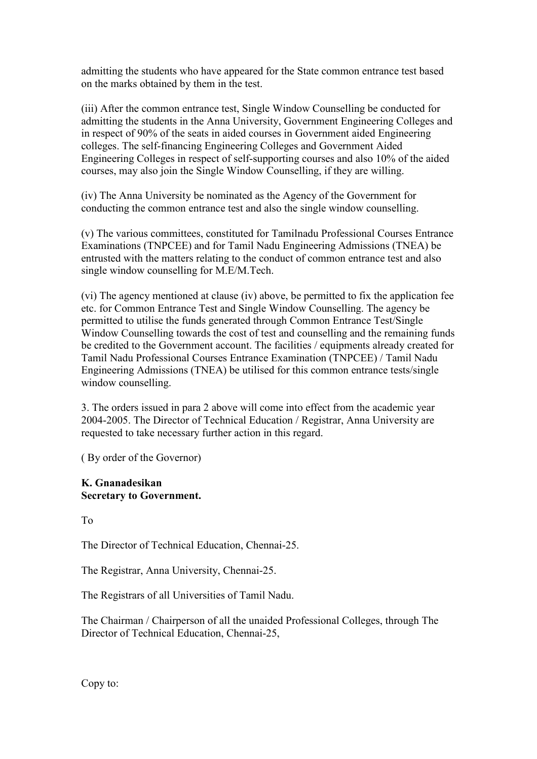admitting the students who have appeared for the State common entrance test based on the marks obtained by them in the test.

(iii) After the common entrance test, Single Window Counselling be conducted for admitting the students in the Anna University, Government Engineering Colleges and in respect of 90% of the seats in aided courses in Government aided Engineering colleges. The self-financing Engineering Colleges and Government Aided Engineering Colleges in respect of self-supporting courses and also 10% of the aided courses, may also join the Single Window Counselling, if they are willing.

(iv) The Anna University be nominated as the Agency of the Government for conducting the common entrance test and also the single window counselling.

(v) The various committees, constituted for Tamilnadu Professional Courses Entrance Examinations (TNPCEE) and for Tamil Nadu Engineering Admissions (TNEA) be entrusted with the matters relating to the conduct of common entrance test and also single window counselling for M.E/M.Tech.

(vi) The agency mentioned at clause (iv) above, be permitted to fix the application fee etc. for Common Entrance Test and Single Window Counselling. The agency be permitted to utilise the funds generated through Common Entrance Test/Single Window Counselling towards the cost of test and counselling and the remaining funds be credited to the Government account. The facilities / equipments already created for Tamil Nadu Professional Courses Entrance Examination (TNPCEE) / Tamil Nadu Engineering Admissions (TNEA) be utilised for this common entrance tests/single window counselling.

3. The orders issued in para 2 above will come into effect from the academic year 2004-2005. The Director of Technical Education / Registrar, Anna University are requested to take necessary further action in this regard.

( By order of the Governor)

# **K. Gnanadesikan Secretary to Government.**

To

The Director of Technical Education, Chennai-25.

The Registrar, Anna University, Chennai-25.

The Registrars of all Universities of Tamil Nadu.

The Chairman / Chairperson of all the unaided Professional Colleges, through The Director of Technical Education, Chennai-25,

Copy to: